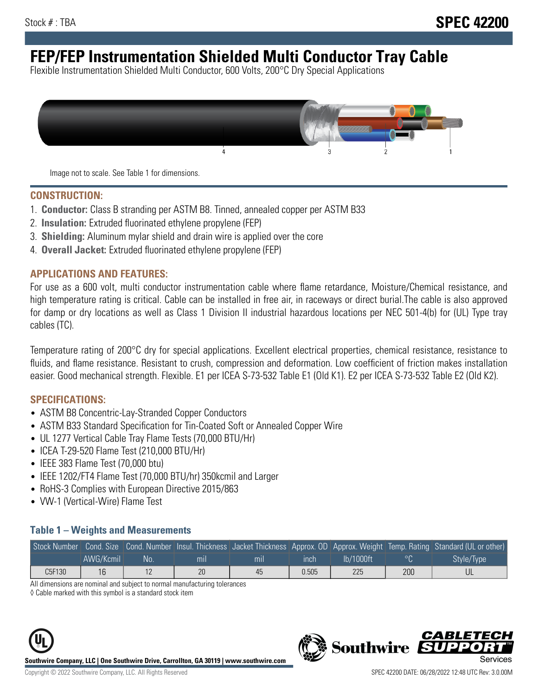# **FEP/FEP Instrumentation Shielded Multi Conductor Tray Cable**

Flexible Instrumentation Shielded Multi Conductor, 600 Volts, 200°C Dry Special Applications



Image not to scale. See Table 1 for dimensions.

#### **CONSTRUCTION:**

- 1. **Conductor:** Class B stranding per ASTM B8. Tinned, annealed copper per ASTM B33
- 2. **Insulation:** Extruded fluorinated ethylene propylene (FEP)
- 3. **Shielding:** Aluminum mylar shield and drain wire is applied over the core
- 4. **Overall Jacket:** Extruded fluorinated ethylene propylene (FEP)

#### **APPLICATIONS AND FEATURES:**

For use as a 600 volt, multi conductor instrumentation cable where flame retardance, Moisture/Chemical resistance, and high temperature rating is critical. Cable can be installed in free air, in raceways or direct burial.The cable is also approved for damp or dry locations as well as Class 1 Division II industrial hazardous locations per NEC 501-4(b) for (UL) Type tray cables (TC).

Temperature rating of 200°C dry for special applications. Excellent electrical properties, chemical resistance, resistance to fluids, and flame resistance. Resistant to crush, compression and deformation. Low coefficient of friction makes installation easier. Good mechanical strength. Flexible. E1 per ICEA S-73-532 Table E1 (Old K1). E2 per ICEA S-73-532 Table E2 (Old K2).

#### **SPECIFICATIONS:**

- ASTM B8 Concentric-Lay-Stranded Copper Conductors
- ASTM B33 Standard Specification for Tin-Coated Soft or Annealed Copper Wire
- UL 1277 Vertical Cable Tray Flame Tests (70,000 BTU/Hr)
- ICEA T-29-520 Flame Test (210,000 BTU/Hr)
- IEEE 383 Flame Test (70,000 btu)
- IEEE 1202/FT4 Flame Test (70,000 BTU/hr) 350kcmil and Larger
- RoHS-3 Complies with European Directive 2015/863
- VW-1 (Vertical-Wire) Flame Test

#### **Table 1 – Weights and Measurements**

|        |           |    |                |     |             |           |     | Stock Number Cond. Size Cond. Number Insul. Thickness Jacket Thickness Approx. OD Approx. Weight Temp. Rating Standard (UL or other) |
|--------|-----------|----|----------------|-----|-------------|-----------|-----|--------------------------------------------------------------------------------------------------------------------------------------|
|        | AWG/Kcmil | No | m <sub>l</sub> | mil | <b>inch</b> | Ib/1000ft |     | Style/Type                                                                                                                           |
| C5F130 | 16        |    | 20             | 45  | 0.505       | 225       | 200 |                                                                                                                                      |

All dimensions are nominal and subject to normal manufacturing tolerances

◊ Cable marked with this symbol is a standard stock item



**Southwire** 

CARLET

Copyright © 2022 Southwire Company, LLC. All Rights Reserved SPEC 42200 DATE: 06/28/2022 12:48 UTC Rev: 3.0.00M